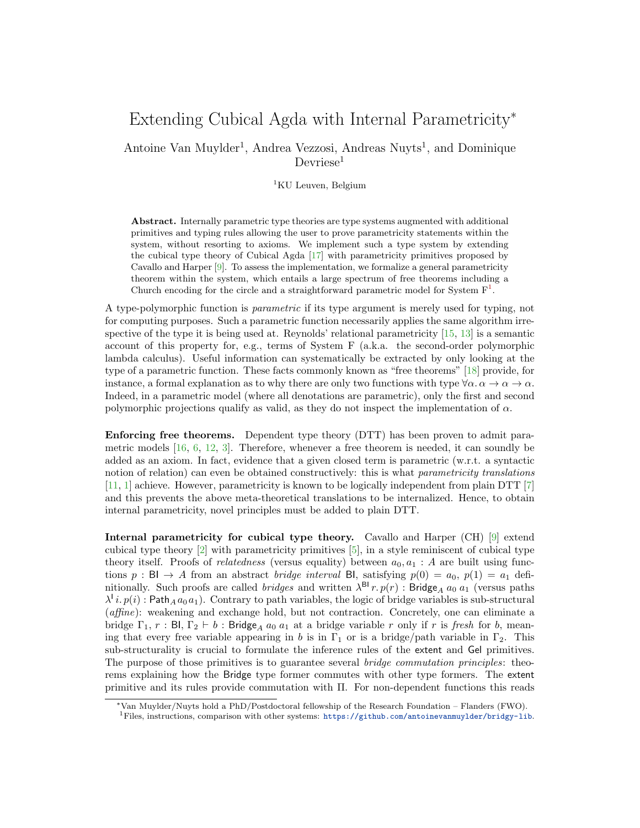## Extending Cubical Agda with Internal Parametricity<sup>∗</sup>

Antoine Van Muylder<sup>1</sup>, Andrea Vezzosi, Andreas Nuyts<sup>1</sup>, and Dominique  $D$ evriese<sup>1</sup>

 ${}^{1}$ KU Leuven, Belgium

Abstract. Internally parametric type theories are type systems augmented with additional primitives and typing rules allowing the user to prove parametricity statements within the system, without resorting to axioms. We implement such a type system by extending the cubical type theory of Cubical Agda [\[17\]](#page-2-0) with parametricity primitives proposed by Cavallo and Harper [\[9\]](#page-2-1). To assess the implementation, we formalize a general parametricity theorem within the system, which entails a large spectrum of free theorems including a Church encoding for the circle and a straightforward parametric model for System  $F<sup>1</sup>$  $F<sup>1</sup>$  $F<sup>1</sup>$ .

A type-polymorphic function is parametric if its type argument is merely used for typing, not for computing purposes. Such a parametric function necessarily applies the same algorithm irrespective of the type it is being used at. Reynolds' relational parametricity [\[15,](#page-2-2) [13\]](#page-2-3) is a semantic account of this property for, e.g., terms of System F (a.k.a. the second-order polymorphic lambda calculus). Useful information can systematically be extracted by only looking at the type of a parametric function. These facts commonly known as "free theorems" [\[18\]](#page-2-4) provide, for instance, a formal explanation as to why there are only two functions with type  $\forall \alpha \cdot \alpha \to \alpha \to \alpha$ . Indeed, in a parametric model (where all denotations are parametric), only the first and second polymorphic projections qualify as valid, as they do not inspect the implementation of  $\alpha$ .

Enforcing free theorems. Dependent type theory (DTT) has been proven to admit parametric models  $[16, 6, 12, 3]$  $[16, 6, 12, 3]$  $[16, 6, 12, 3]$  $[16, 6, 12, 3]$  $[16, 6, 12, 3]$  $[16, 6, 12, 3]$ . Therefore, whenever a free theorem is needed, it can soundly be added as an axiom. In fact, evidence that a given closed term is parametric (w.r.t. a syntactic notion of relation) can even be obtained constructively: this is what parametricity translations [\[11,](#page-2-9) [1\]](#page-2-10) achieve. However, parametricity is known to be logically independent from plain DTT [\[7\]](#page-2-11) and this prevents the above meta-theoretical translations to be internalized. Hence, to obtain internal parametricity, novel principles must be added to plain DTT.

Internal parametricity for cubical type theory. Cavallo and Harper (CH) [\[9\]](#page-2-1) extend cubical type theory [\[2\]](#page-2-12) with parametricity primitives [\[5\]](#page-2-13), in a style reminiscent of cubical type theory itself. Proofs of *relatedness* (versus equality) between  $a_0, a_1 : A$  are built using functions  $p : Bl \to A$  from an abstract *bridge interval* BI, satisfying  $p(0) = a_0$ ,  $p(1) = a_1$  definitionally. Such proofs are called *bridges* and written  $\lambda^{\text{BI}} r. p(r)$ : Bridge<sub>A</sub>  $a_0 a_1$  (versus paths  $\lambda^i i. p(i)$ : Path<sub>A</sub>  $a_0 a_1$ ). Contrary to path variables, the logic of bridge variables is sub-structural (affine): weakening and exchange hold, but not contraction. Concretely, one can eliminate a bridge  $\Gamma_1$ , r : BI,  $\Gamma_2 \vdash b$  : Bridge<sub>A</sub>  $a_0$   $a_1$  at a bridge variable r only if r is fresh for b, meaning that every free variable appearing in b is in  $\Gamma_1$  or is a bridge/path variable in  $\Gamma_2$ . This sub-structurality is crucial to formulate the inference rules of the extent and Gel primitives. The purpose of those primitives is to guarantee several *bridge commutation principles*: theorems explaining how the Bridge type former commutes with other type formers. The extent primitive and its rules provide commutation with Π. For non-dependent functions this reads

<span id="page-0-0"></span><sup>∗</sup>Van Muylder/Nuyts hold a PhD/Postdoctoral fellowship of the Research Foundation – Flanders (FWO). <sup>1</sup>Files, instructions, comparison with other systems: <https://github.com/antoinevanmuylder/bridgy-lib>.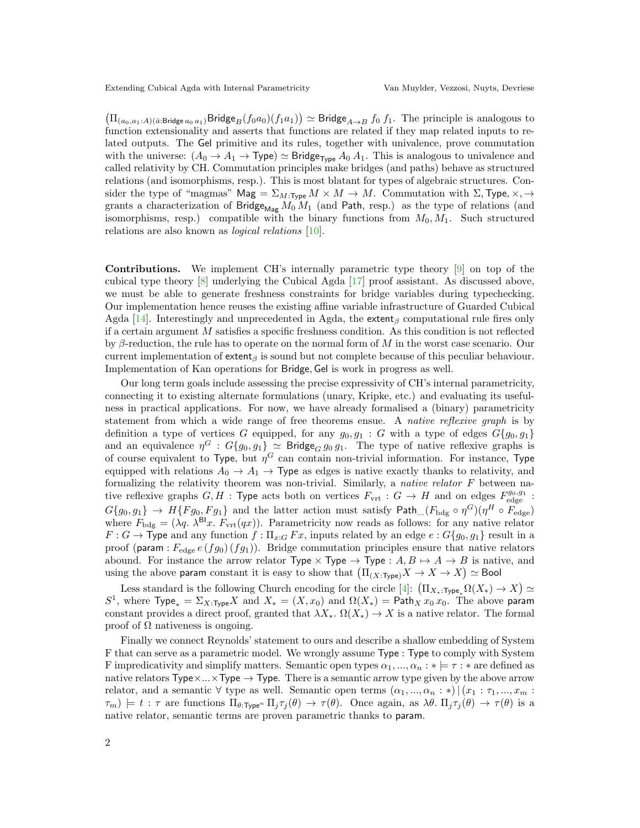Extending Cubical Agda with Internal Parametricity Van Muylder, Vezzosi, Nuyts, Devriese

 $(\Pi_{(a_0,a_1:A)(\bar{a}:\text{Bridge }a_0,a_1)}\text{Bridge}_B(f_0a_0)(f_1a_1)) \simeq \text{Bridge}_{A\rightarrow B} f_0 f_1$ . The principle is analogous to function extensionality and asserts that functions are related if they map related inputs to related outputs. The Gel primitive and its rules, together with univalence, prove commutation with the universe:  $(A_0 \to A_1 \to \text{Type}) \simeq \text{Bridge}_{\text{Type}} A_0 A_1$ . This is analogous to univalence and called relativity by CH. Commutation principles make bridges (and paths) behave as structured relations (and isomorphisms, resp.). This is most blatant for types of algebraic structures. Consider the type of "magmas"  $\text{Mag} = \Sigma_{M:\text{Type}} M \times M \to M$ . Commutation with  $\Sigma$ , Type,  $\times$ ,  $\to$ grants a characterization of Bridge<sub>Mag</sub>  $M_0 M_1$  (and Path, resp.) as the type of relations (and isomorphisms, resp.) compatible with the binary functions from  $M_0, M_1$ . Such structured relations are also known as logical relations [\[10\]](#page-2-14).

Contributions. We implement CH's internally parametric type theory [\[9\]](#page-2-1) on top of the cubical type theory [\[8\]](#page-2-15) underlying the Cubical Agda [\[17\]](#page-2-0) proof assistant. As discussed above, we must be able to generate freshness constraints for bridge variables during typechecking. Our implementation hence reuses the existing affine variable infrastructure of Guarded Cubical Agda [\[14\]](#page-2-16). Interestingly and unprecedented in Agda, the extent<sub>β</sub> computational rule fires only if a certain argument M satisfies a specific freshness condition. As this condition is not reflected by  $\beta$ -reduction, the rule has to operate on the normal form of M in the worst case scenario. Our current implementation of extent<sub>β</sub> is sound but not complete because of this peculiar behaviour. Implementation of Kan operations for Bridge, Gel is work in progress as well.

Our long term goals include assessing the precise expressivity of CH's internal parametricity, connecting it to existing alternate formulations (unary, Kripke, etc.) and evaluating its usefulness in practical applications. For now, we have already formalised a (binary) parametricity statement from which a wide range of free theorems ensue. A native reflexive graph is by definition a type of vertices G equipped, for any  $g_0, g_1 : G$  with a type of edges  $G{g_0, g_1}$ and an equivalence  $\eta^G : G{g_0, g_1} \simeq$  Bridge $_G g_0 g_1$ . The type of native reflexive graphs is of course equivalent to Type, but  $\eta^G$  can contain non-trivial information. For instance, Type equipped with relations  $A_0 \rightarrow A_1 \rightarrow$  Type as edges is native exactly thanks to relativity, and formalizing the relativity theorem was non-trivial. Similarly, a *native relator*  $F$  between native reflexive graphs  $G, H$ : Type acts both on vertices  $F_{\text{vrt}}$ :  $G \to H$  and on edges  $F_{\text{edge}}^{g_0, g_1}$ :  $G{g_0, g_1} \rightarrow H{Fg_0, Fg_1}$  and the latter action must satisfy Path...( $F_{\text{bdg}} \circ \eta^G$ )( $\eta^H \circ F_{\text{edge}}$ ) where  $F_{\text{bdg}} = (\lambda q. \lambda^{\text{Bl}} x. F_{\text{vrt}}(qx)).$  Parametricity now reads as follows: for any native relator  $F: G \to \text{Type and any function } f: \Pi_{x:G} F x$ , inputs related by an edge  $e: G\{g_0, g_1\}$  result in a proof (param :  $F_{\text{edge}}(fg_0)(fg_1)$ ). Bridge commutation principles ensure that native relators abound. For instance the arrow relator Type  $\times$  Type  $\to$  Type :  $A, B \mapsto A \to B$  is native, and using the above param constant it is easy to show that  $(\Pi_{(X:\text{Type})}X \to X \to X) \simeq \text{Bool}$ 

Less standard is the following Church encoding for the circle [\[4\]](#page-2-17):  $(\Pi_{X_*: \text{Type}_*} \Omega(X_*) \to X) \simeq$ S<sup>1</sup>, where  $Type_* = \Sigma_{X:\text{Type}} X$  and  $X_* = (X, x_0)$  and  $\Omega(X_*) = \text{Path}_X x_0 x_0$ . The above param constant provides a direct proof, granted that  $\lambda X_*, \Omega(X_*) \to X$  is a native relator. The formal proof of  $\Omega$  nativeness is ongoing.

Finally we connect Reynolds' statement to ours and describe a shallow embedding of System F that can serve as a parametric model. We wrongly assume Type : Type to comply with System F impredicativity and simplify matters. Semantic open types  $\alpha_1, ..., \alpha_n : * \models \tau : *$  are defined as native relators  $Type \times ... \times Type \rightarrow Type$ . There is a semantic arrow type given by the above arrow relator, and a semantic  $\forall$  type as well. Semantic open terms  $(\alpha_1, ..., \alpha_n : *) | (x_1 : \tau_1, ..., x_m : *)$  $\tau_m$ )  $\models t : \tau$  are functions  $\Pi_{\theta:\text{Type}^n} \Pi_j \tau_j(\theta) \to \tau(\theta)$ . Once again, as  $\lambda\theta$ .  $\Pi_j \tau_j(\theta) \to \tau(\theta)$  is a native relator, semantic terms are proven parametric thanks to param.